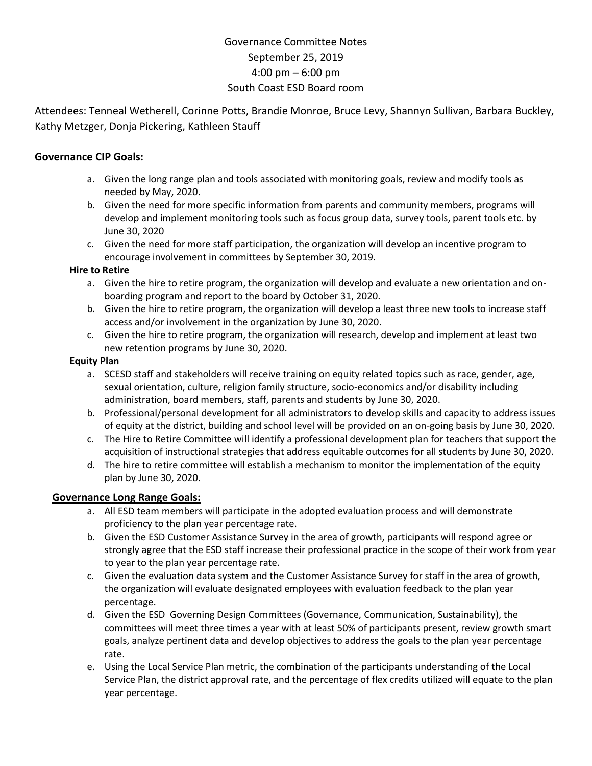# Governance Committee Notes September 25, 2019 4:00 pm – 6:00 pm South Coast ESD Board room

Attendees: Tenneal Wetherell, Corinne Potts, Brandie Monroe, Bruce Levy, Shannyn Sullivan, Barbara Buckley, Kathy Metzger, Donja Pickering, Kathleen Stauff

#### **Governance CIP Goals:**

- a. Given the long range plan and tools associated with monitoring goals, review and modify tools as needed by May, 2020.
- b. Given the need for more specific information from parents and community members, programs will develop and implement monitoring tools such as focus group data, survey tools, parent tools etc. by June 30, 2020
- c. Given the need for more staff participation, the organization will develop an incentive program to encourage involvement in committees by September 30, 2019.

#### **Hire to Retire**

- a. Given the hire to retire program, the organization will develop and evaluate a new orientation and onboarding program and report to the board by October 31, 2020.
- b. Given the hire to retire program, the organization will develop a least three new tools to increase staff access and/or involvement in the organization by June 30, 2020.
- c. Given the hire to retire program, the organization will research, develop and implement at least two new retention programs by June 30, 2020.

#### **Equity Plan**

- a. SCESD staff and stakeholders will receive training on equity related topics such as race, gender, age, sexual orientation, culture, religion family structure, socio-economics and/or disability including administration, board members, staff, parents and students by June 30, 2020.
- b. Professional/personal development for all administrators to develop skills and capacity to address issues of equity at the district, building and school level will be provided on an on-going basis by June 30, 2020.
- c. The Hire to Retire Committee will identify a professional development plan for teachers that support the acquisition of instructional strategies that address equitable outcomes for all students by June 30, 2020.
- d. The hire to retire committee will establish a mechanism to monitor the implementation of the equity plan by June 30, 2020.

#### **Governance Long Range Goals:**

- a. All ESD team members will participate in the adopted evaluation process and will demonstrate proficiency to the plan year percentage rate.
- b. Given the ESD Customer Assistance Survey in the area of growth, participants will respond agree or strongly agree that the ESD staff increase their professional practice in the scope of their work from year to year to the plan year percentage rate.
- c. Given the evaluation data system and the Customer Assistance Survey for staff in the area of growth, the organization will evaluate designated employees with evaluation feedback to the plan year percentage.
- d. Given the ESD Governing Design Committees (Governance, Communication, Sustainability), the committees will meet three times a year with at least 50% of participants present, review growth smart goals, analyze pertinent data and develop objectives to address the goals to the plan year percentage rate.
- e. Using the Local Service Plan metric, the combination of the participants understanding of the Local Service Plan, the district approval rate, and the percentage of flex credits utilized will equate to the plan year percentage.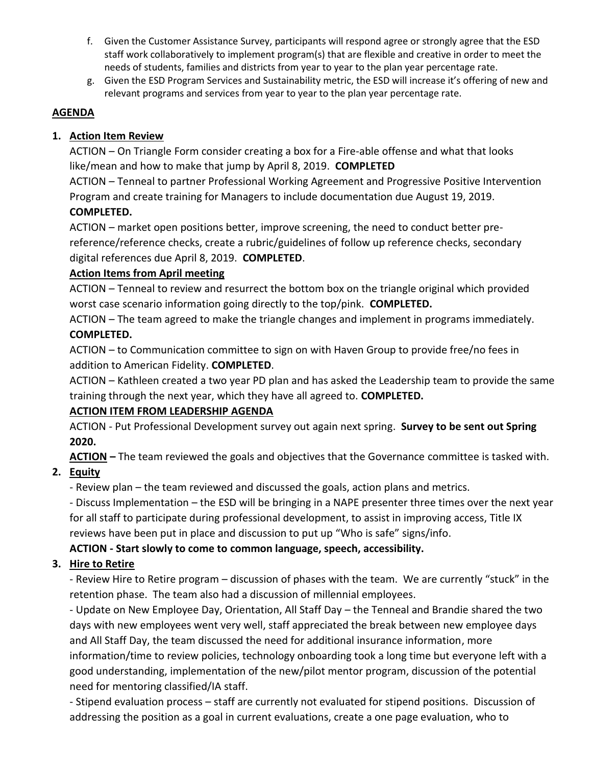- f. Given the Customer Assistance Survey, participants will respond agree or strongly agree that the ESD staff work collaboratively to implement program(s) that are flexible and creative in order to meet the needs of students, families and districts from year to year to the plan year percentage rate.
- g. Given the ESD Program Services and Sustainability metric, the ESD will increase it's offering of new and relevant programs and services from year to year to the plan year percentage rate.

#### **AGENDA**

### **1. Action Item Review**

ACTION – On Triangle Form consider creating a box for a Fire-able offense and what that looks like/mean and how to make that jump by April 8, 2019. **COMPLETED**

ACTION – Tenneal to partner Professional Working Agreement and Progressive Positive Intervention Program and create training for Managers to include documentation due August 19, 2019. **COMPLETED.**

ACTION – market open positions better, improve screening, the need to conduct better prereference/reference checks, create a rubric/guidelines of follow up reference checks, secondary digital references due April 8, 2019. **COMPLETED**.

#### **Action Items from April meeting**

ACTION – Tenneal to review and resurrect the bottom box on the triangle original which provided worst case scenario information going directly to the top/pink. **COMPLETED.**

ACTION – The team agreed to make the triangle changes and implement in programs immediately. **COMPLETED.**

ACTION – to Communication committee to sign on with Haven Group to provide free/no fees in addition to American Fidelity. **COMPLETED**.

ACTION – Kathleen created a two year PD plan and has asked the Leadership team to provide the same training through the next year, which they have all agreed to. **COMPLETED.**

## **ACTION ITEM FROM LEADERSHIP AGENDA**

ACTION - Put Professional Development survey out again next spring. **Survey to be sent out Spring 2020.**

**ACTION –** The team reviewed the goals and objectives that the Governance committee is tasked with.

# **2. Equity**

- Review plan – the team reviewed and discussed the goals, action plans and metrics.

- Discuss Implementation – the ESD will be bringing in a NAPE presenter three times over the next year for all staff to participate during professional development, to assist in improving access, Title IX reviews have been put in place and discussion to put up "Who is safe" signs/info.

## **ACTION - Start slowly to come to common language, speech, accessibility.**

## **3. Hire to Retire**

- Review Hire to Retire program – discussion of phases with the team. We are currently "stuck" in the retention phase. The team also had a discussion of millennial employees.

- Update on New Employee Day, Orientation, All Staff Day – the Tenneal and Brandie shared the two days with new employees went very well, staff appreciated the break between new employee days and All Staff Day, the team discussed the need for additional insurance information, more information/time to review policies, technology onboarding took a long time but everyone left with a good understanding, implementation of the new/pilot mentor program, discussion of the potential need for mentoring classified/IA staff.

- Stipend evaluation process – staff are currently not evaluated for stipend positions. Discussion of addressing the position as a goal in current evaluations, create a one page evaluation, who to